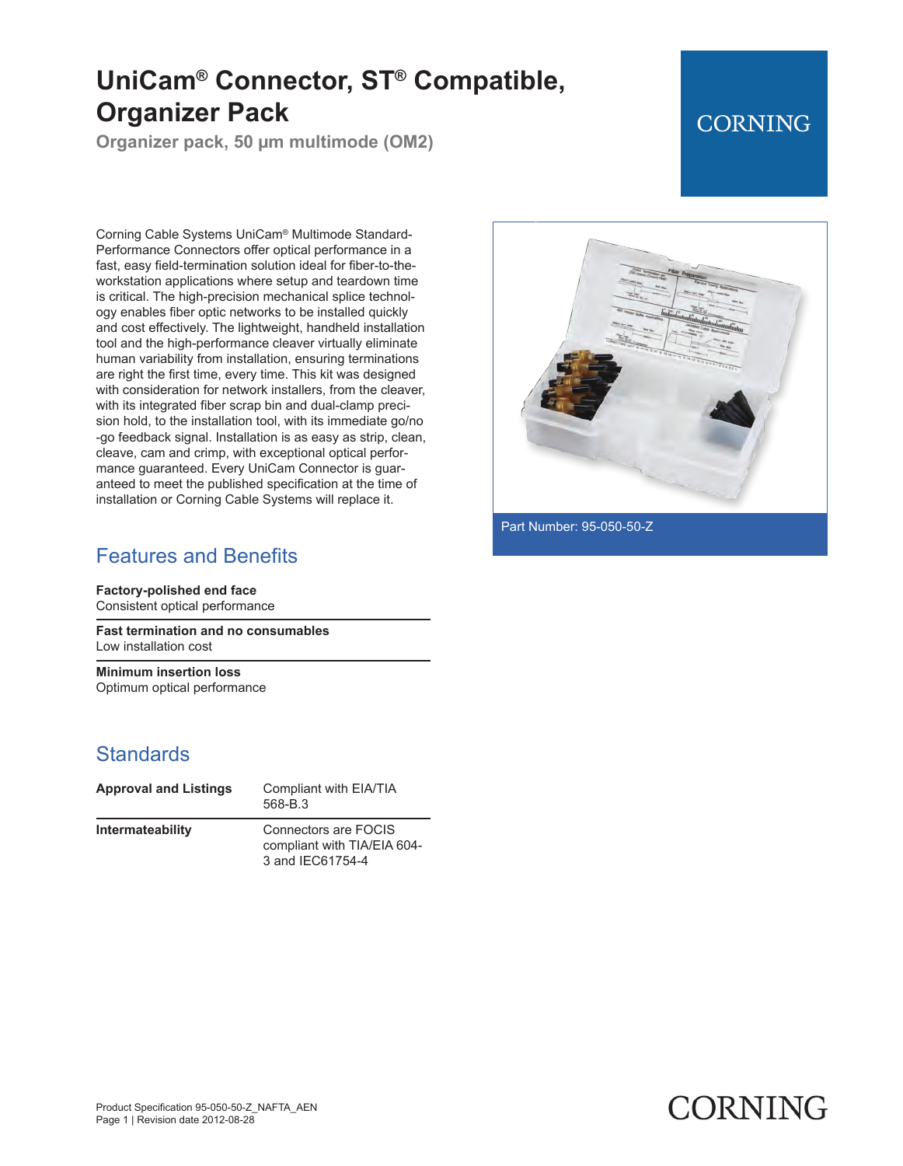# **UniCam® Connector, ST® Compatible, Organizer Pack**

**Organizer pack, 50 µm multimode (OM2)**

# **CORNING**

Corning Cable Systems UniCam® Multimode Standard-Performance Connectors offer optical performance in a fast, easy field-termination solution ideal for fiber-to-theworkstation applications where setup and teardown time is critical. The high-precision mechanical splice technology enables fiber optic networks to be installed quickly and cost effectively. The lightweight, handheld installation tool and the high-performance cleaver virtually eliminate human variability from installation, ensuring terminations are right the first time, every time. This kit was designed with consideration for network installers, from the cleaver, with its integrated fiber scrap bin and dual-clamp precision hold, to the installation tool, with its immediate go/no -go feedback signal. Installation is as easy as strip, clean, cleave, cam and crimp, with exceptional optical performance guaranteed. Every UniCam Connector is guaranteed to meet the published specification at the time of installation or Corning Cable Systems will replace it.

#### Features and Benefits

**Factory-polished end face** Consistent optical performance

**Fast termination and no consumables** Low installation cost

**Minimum insertion loss** Optimum optical performance

### **Standards**

| <b>Approval and Listings</b> | Compliant with EIA/TIA<br>568-B.3                                       |
|------------------------------|-------------------------------------------------------------------------|
| Intermateability             | Connectors are FOCIS<br>compliant with TIA/EIA 604-<br>3 and IEC61754-4 |



Part Number: 95-050-50-Z